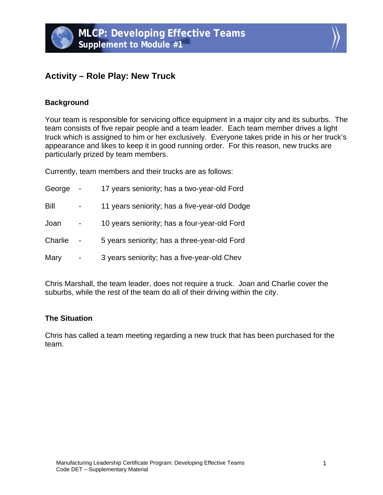# **Activity – Role Play: New Truck**

## **Background**

Your team is responsible for servicing office equipment in a major city and its suburbs. The team consists of five repair people and a team leader. Each team member drives a light truck which is assigned to him or her exclusively. Everyone takes pride in his or her truck's appearance and likes to keep it in good running order. For this reason, new trucks are particularly prized by team members.

Currently, team members and their trucks are as follows:

| George  | 17 years seniority; has a two-year-old Ford   |
|---------|-----------------------------------------------|
| Bill    | 11 years seniority; has a five-year-old Dodge |
| Joan    | 10 years seniority; has a four-year-old Ford  |
| Charlie | 5 years seniority; has a three-year-old Ford  |
| Mary    | 3 years seniority; has a five-year-old Chev   |

Chris Marshall, the team leader, does not require a truck. Joan and Charlie cover the suburbs, while the rest of the team do all of their driving within the city.

#### **The Situation**

Chris has called a team meeting regarding a new truck that has been purchased for the team.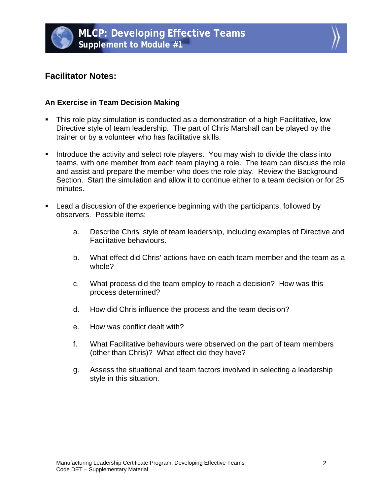



# **Facilitator Notes:**

# **An Exercise in Team Decision Making**

- This role play simulation is conducted as a demonstration of a high Facilitative, low Directive style of team leadership. The part of Chris Marshall can be played by the trainer or by a volunteer who has facilitative skills.
- **Introduce the activity and select role players. You may wish to divide the class into** teams, with one member from each team playing a role. The team can discuss the role and assist and prepare the member who does the role play. Review the Background Section. Start the simulation and allow it to continue either to a team decision or for 25 minutes.
- **EXECT** Lead a discussion of the experience beginning with the participants, followed by observers. Possible items:
	- a. Describe Chris' style of team leadership, including examples of Directive and Facilitative behaviours.
	- b. What effect did Chris' actions have on each team member and the team as a whole?
	- c. What process did the team employ to reach a decision? How was this process determined?
	- d. How did Chris influence the process and the team decision?
	- e. How was conflict dealt with?
	- f. What Facilitative behaviours were observed on the part of team members (other than Chris)? What effect did they have?
	- g. Assess the situational and team factors involved in selecting a leadership style in this situation.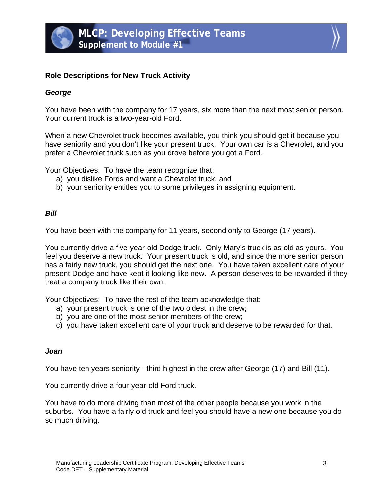



#### **Role Descriptions for New Truck Activity**

#### *George*

You have been with the company for 17 years, six more than the next most senior person. Your current truck is a two-year-old Ford.

When a new Chevrolet truck becomes available, you think you should get it because you have seniority and you don't like your present truck. Your own car is a Chevrolet, and you prefer a Chevrolet truck such as you drove before you got a Ford.

Your Objectives: To have the team recognize that:

- a) you dislike Fords and want a Chevrolet truck, and
- b) your seniority entitles you to some privileges in assigning equipment.

#### *Bill*

You have been with the company for 11 years, second only to George (17 years).

You currently drive a five-year-old Dodge truck. Only Mary's truck is as old as yours. You feel you deserve a new truck. Your present truck is old, and since the more senior person has a fairly new truck, you should get the next one. You have taken excellent care of your present Dodge and have kept it looking like new. A person deserves to be rewarded if they treat a company truck like their own.

Your Objectives: To have the rest of the team acknowledge that:

- a) your present truck is one of the two oldest in the crew;
- b) you are one of the most senior members of the crew;
- c) you have taken excellent care of your truck and deserve to be rewarded for that.

# *Joan*

You have ten years seniority - third highest in the crew after George (17) and Bill (11).

You currently drive a four-year-old Ford truck.

You have to do more driving than most of the other people because you work in the suburbs. You have a fairly old truck and feel you should have a new one because you do so much driving.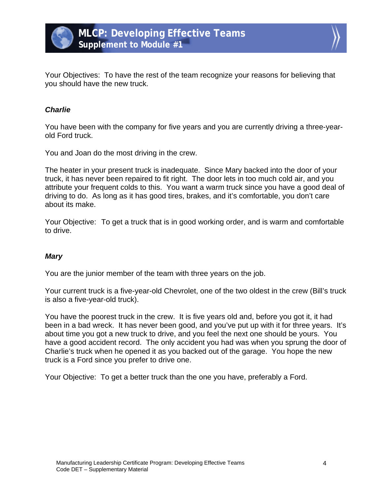



Your Objectives: To have the rest of the team recognize your reasons for believing that you should have the new truck.

## *Charlie*

You have been with the company for five years and you are currently driving a three-yearold Ford truck.

You and Joan do the most driving in the crew.

The heater in your present truck is inadequate. Since Mary backed into the door of your truck, it has never been repaired to fit right. The door lets in too much cold air, and you attribute your frequent colds to this. You want a warm truck since you have a good deal of driving to do. As long as it has good tires, brakes, and it's comfortable, you don't care about its make.

Your Objective: To get a truck that is in good working order, and is warm and comfortable to drive.

#### *Mary*

You are the junior member of the team with three years on the job.

Your current truck is a five-year-old Chevrolet, one of the two oldest in the crew (Bill's truck is also a five-year-old truck).

You have the poorest truck in the crew. It is five years old and, before you got it, it had been in a bad wreck. It has never been good, and you've put up with it for three years. It's about time you got a new truck to drive, and you feel the next one should be yours. You have a good accident record. The only accident you had was when you sprung the door of Charlie's truck when he opened it as you backed out of the garage. You hope the new truck is a Ford since you prefer to drive one.

Your Objective: To get a better truck than the one you have, preferably a Ford.